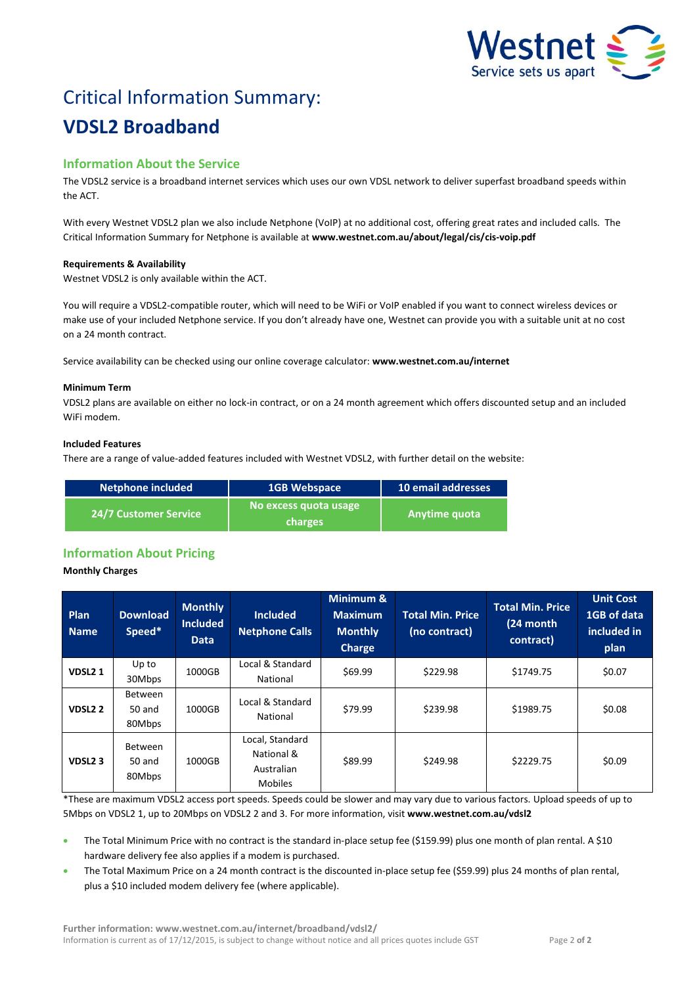

# Critical Information Summary: **VDSL2 Broadband**

# **Information About the Service**

The VDSL2 service is a broadband internet services which uses our own VDSL network to deliver superfast broadband speeds within the ACT.

With every Westnet VDSL2 plan we also include Netphone (VoIP) at no additional cost, offering great rates and included calls. The Critical Information Summary for Netphone is available at **www.westnet.com.au/about/legal/cis/cis-voip.pdf**

# **Requirements & Availability**

Westnet VDSL2 is only available within the ACT.

You will require a VDSL2-compatible router, which will need to be WiFi or VoIP enabled if you want to connect wireless devices or make use of your included Netphone service. If you don't already have one, Westnet can provide you with a suitable unit at no cost on a 24 month contract.

Service availability can be checked using our online coverage calculator: **www.westnet.com.au/internet**

#### **Minimum Term**

VDSL2 plans are available on either no lock-in contract, or on a 24 month agreement which offers discounted setup and an included WiFi modem.

#### **Included Features**

There are a range of value-added features included with Westnet VDSL2, with further detail on the website:

| Netphone included            | 1GB Webspace                     | 10 email addresses |
|------------------------------|----------------------------------|--------------------|
| <b>24/7 Customer Service</b> | No excess quota usage<br>charges | Anytime quota      |

# **Information About Pricing**

# **Monthly Charges**

| <b>Plan</b><br><b>Name</b> | <b>Download</b><br>Speed*          | <b>Monthly</b><br><b>Included</b><br><b>Data</b> | <b>Included</b><br><b>Netphone Calls</b>                      | Minimum &<br><b>Maximum</b><br><b>Monthly</b><br><b>Charge</b> | <b>Total Min. Price</b><br>(no contract) | <b>Total Min. Price</b><br>(24 month<br>contract) | <b>Unit Cost</b><br>1GB of data<br>included in<br>plan |
|----------------------------|------------------------------------|--------------------------------------------------|---------------------------------------------------------------|----------------------------------------------------------------|------------------------------------------|---------------------------------------------------|--------------------------------------------------------|
| VDSL <sub>21</sub>         | Up to<br>30Mbps                    | 1000GB                                           | Local & Standard<br><b>National</b>                           | \$69.99                                                        | \$229.98                                 | \$1749.75                                         | \$0.07                                                 |
| VDSL <sub>2</sub> 2        | <b>Between</b><br>50 and<br>80Mbps | 1000GB                                           | Local & Standard<br>National                                  | \$79.99                                                        | \$239.98                                 | \$1989.75                                         | \$0.08                                                 |
| VDSL <sub>2</sub> 3        | <b>Between</b><br>50 and<br>80Mbps | 1000GB                                           | Local, Standard<br>National &<br>Australian<br><b>Mobiles</b> | \$89.99                                                        | \$249.98                                 | \$2229.75                                         | \$0.09                                                 |

\*These are maximum VDSL2 access port speeds. Speeds could be slower and may vary due to various factors. Upload speeds of up to 5Mbps on VDSL2 1, up to 20Mbps on VDSL2 2 and 3. For more information, visit **www.westnet.com.au/vdsl2**

 The Total Minimum Price with no contract is the standard in-place setup fee (\$159.99) plus one month of plan rental. A \$10 hardware delivery fee also applies if a modem is purchased.

 The Total Maximum Price on a 24 month contract is the discounted in-place setup fee (\$59.99) plus 24 months of plan rental, plus a \$10 included modem delivery fee (where applicable).